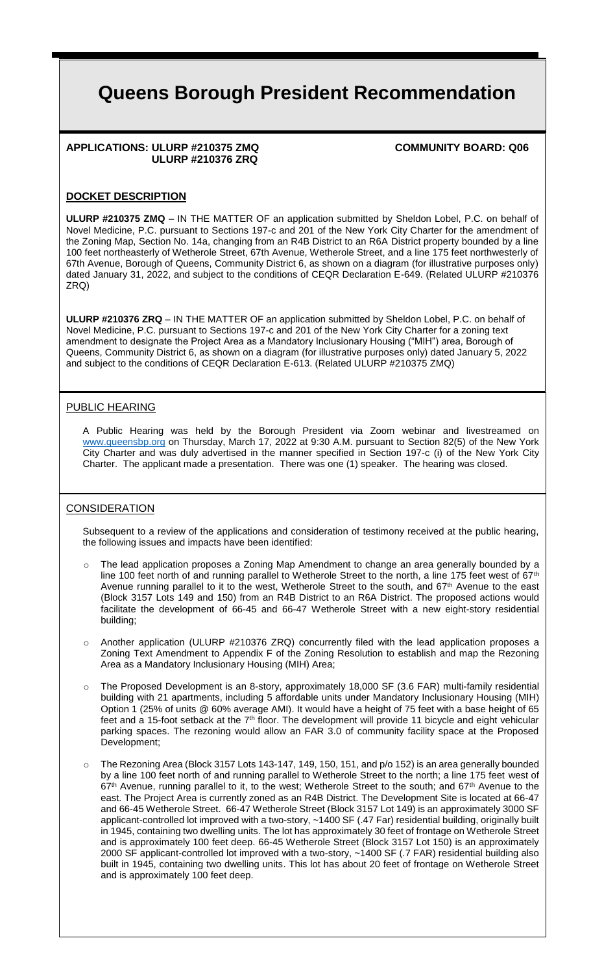# **Queens Borough President Recommendation**

#### **APPLICATIONS: ULURP #210375 ZMQ COMMUNITY BOARD: Q06 ULURP #210376 ZRQ**

#### **DOCKET DESCRIPTION**

**ULURP #210375 ZMQ** – IN THE MATTER OF an application submitted by Sheldon Lobel, P.C. on behalf of Novel Medicine, P.C. pursuant to Sections 197-c and 201 of the New York City Charter for the amendment of the Zoning Map, Section No. 14a, changing from an R4B District to an R6A District property bounded by a line 100 feet northeasterly of Wetherole Street, 67th Avenue, Wetherole Street, and a line 175 feet northwesterly of 67th Avenue, Borough of Queens, Community District 6, as shown on a diagram (for illustrative purposes only) dated January 31, 2022, and subject to the conditions of CEQR Declaration E-649. (Related ULURP #210376 ZRQ)

**ULURP #210376 ZRQ** – IN THE MATTER OF an application submitted by Sheldon Lobel, P.C. on behalf of Novel Medicine, P.C. pursuant to Sections 197-c and 201 of the New York City Charter for a zoning text amendment to designate the Project Area as a Mandatory Inclusionary Housing ("MIH") area, Borough of Queens, Community District 6, as shown on a diagram (for illustrative purposes only) dated January 5, 2022 and subject to the conditions of CEQR Declaration E-613. (Related ULURP #210375 ZMQ)

#### PUBLIC HEARING

A Public Hearing was held by the Borough President via Zoom webinar and livestreamed on www.queensbp.org on Thursday, March 17, 2022 at 9:30 A.M. pursuant to Section 82(5) of the New York City Charter and was duly advertised in the manner specified in Section 197-c (i) of the New York City Charter. The applicant made a presentation. There was one (1) speaker. The hearing was closed.

## **CONSIDERATION**

Subsequent to a review of the applications and consideration of testimony received at the public hearing, the following issues and impacts have been identified:

- The lead application proposes a Zoning Map Amendment to change an area generally bounded by a line 100 feet north of and running parallel to Wetherole Street to the north, a line 175 feet west of 67<sup>th</sup> Avenue running parallel to it to the west, Wetherole Street to the south, and 67<sup>th</sup> Avenue to the east (Block 3157 Lots 149 and 150) from an R4B District to an R6A District. The proposed actions would facilitate the development of 66-45 and 66-47 Wetherole Street with a new eight-story residential building;
- $\circ$  Another application (ULURP #210376 ZRQ) concurrently filed with the lead application proposes a Zoning Text Amendment to Appendix F of the Zoning Resolution to establish and map the Rezoning Area as a Mandatory Inclusionary Housing (MIH) Area;
- The Proposed Development is an 8-story, approximately 18,000 SF (3.6 FAR) multi-family residential building with 21 apartments, including 5 affordable units under Mandatory Inclusionary Housing (MIH) Option 1 (25% of units @ 60% average AMI). It would have a height of 75 feet with a base height of 65 feet and a 15-foot setback at the 7<sup>th</sup> floor. The development will provide 11 bicycle and eight vehicular parking spaces. The rezoning would allow an FAR 3.0 of community facility space at the Proposed Development;
- The Rezoning Area (Block 3157 Lots 143-147, 149, 150, 151, and p/o 152) is an area generally bounded by a line 100 feet north of and running parallel to Wetherole Street to the north; a line 175 feet west of 67<sup>th</sup> Avenue, running parallel to it, to the west; Wetherole Street to the south; and 67<sup>th</sup> Avenue to the east. The Project Area is currently zoned as an R4B District. The Development Site is located at 66-47 and 66-45 Wetherole Street. 66-47 Wetherole Street (Block 3157 Lot 149) is an approximately 3000 SF applicant-controlled lot improved with a two-story, ~1400 SF (.47 Far) residential building, originally built in 1945, containing two dwelling units. The lot has approximately 30 feet of frontage on Wetherole Street and is approximately 100 feet deep. 66-45 Wetherole Street (Block 3157 Lot 150) is an approximately 2000 SF applicant-controlled lot improved with a two-story, ~1400 SF (.7 FAR) residential building also built in 1945, containing two dwelling units. This lot has about 20 feet of frontage on Wetherole Street and is approximately 100 feet deep.